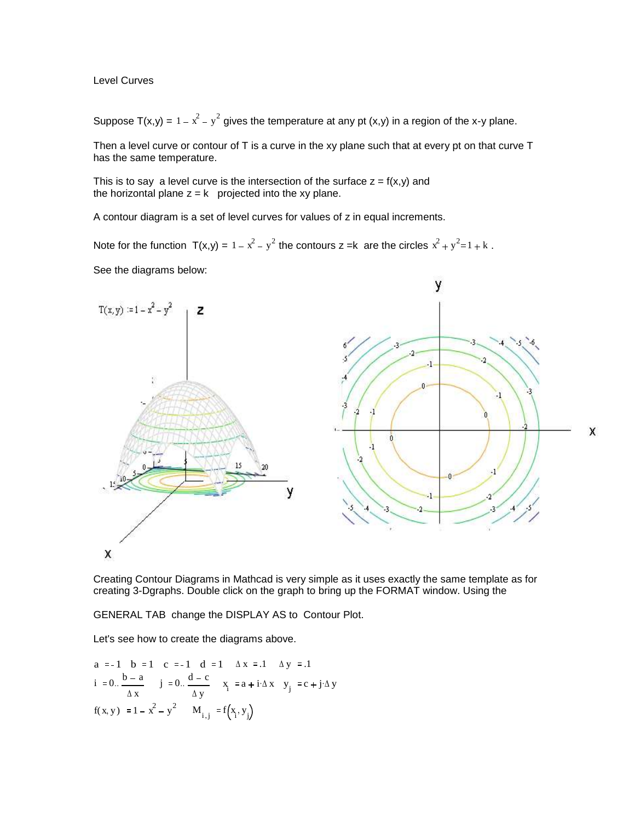Level Curves

Suppose T(x,y) =  $1 - x^2 - y^2$  gives the temperature at any pt (x,y) in a region of the x-y plane.

Then a level curve or contour of T is a curve in the xy plane such that at every pt on that curve T has the same temperature.

This is to say a level curve is the intersection of the surface  $z = f(x,y)$  and the horizontal plane  $z = k$  projected into the xy plane.

A contour diagram is a set of level curves for values of z in equal increments.

Note for the function  $T(x,y) = 1 - x^2 - y^2$  the contours z =k are the circles  $x^2 + y^2 = 1 + k$ . See the diagrams below:



Creating Contour Diagrams in Mathcad is very simple as it uses exactly the same template as for creating 3-Dgraphs. Double click on the graph to bring up the FORMAT window. Using the

GENERAL TAB change the DISPLAY AS to Contour Plot.

Let's see how to create the diagrams above.

a := -1 b := 1 c := -1 d := 1 
$$
\Delta x
$$
 := .1  $\Delta y$  := .1  
i := 0.  $\frac{b-a}{\Delta x}$  j := 0.  $\frac{d-c}{\Delta y}$  x<sub>i</sub> := a + i $\Delta x$  y<sub>j</sub> := c + j $\Delta y$   
f(x, y) := 1 - x<sup>2</sup> - y<sup>2</sup> M<sub>i,j</sub> := f(x<sub>i</sub>, y<sub>j</sub>)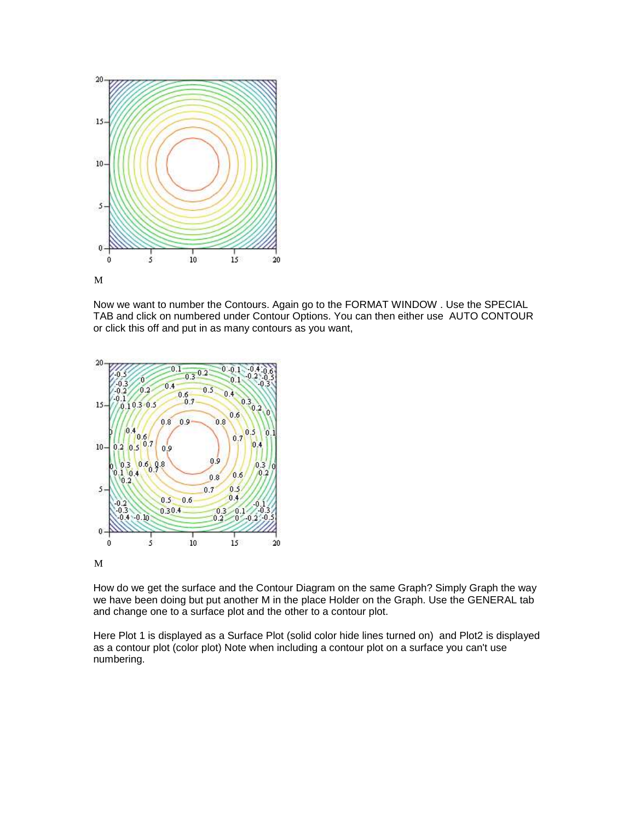

Now we want to number the Contours. Again go to the FORMAT WINDOW . Use the SPECIAL TAB and click on numbered under Contour Options. You can then either use AUTO CONTOUR or click this off and put in as many contours as you want,



M

How do we get the surface and the Contour Diagram on the same Graph? Simply Graph the way we have been doing but put another M in the place Holder on the Graph. Use the GENERAL tab and change one to a surface plot and the other to a contour plot.

Here Plot 1 is displayed as a Surface Plot (solid color hide lines turned on) and Plot2 is displayed as a contour plot (color plot) Note when including a contour plot on a surface you can't use numbering.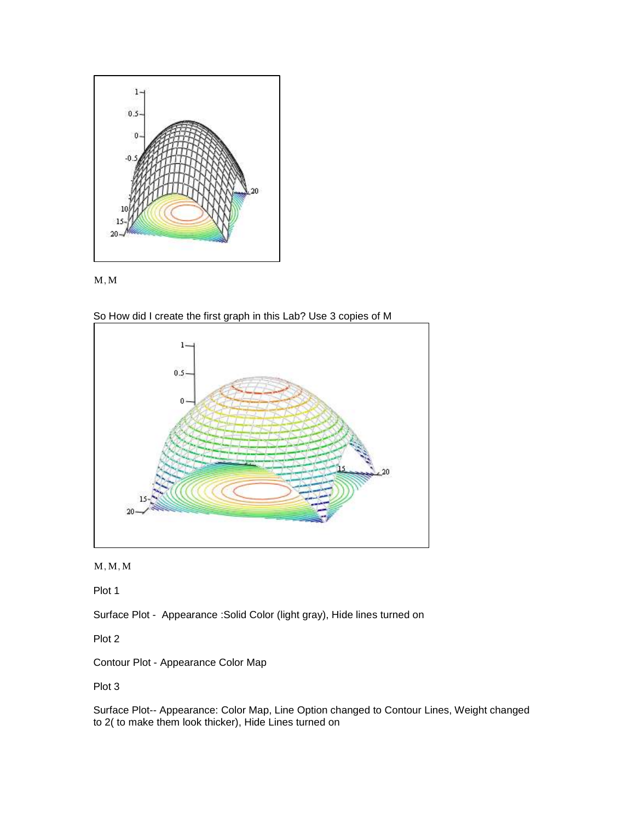



So How did I create the first graph in this Lab? Use 3 copies of M



 $M, M, M$ 

Plot 1

Surface Plot - Appearance :Solid Color (light gray), Hide lines turned on

Plot 2

Contour Plot - Appearance Color Map

Plot 3

Surface Plot-- Appearance: Color Map, Line Option changed to Contour Lines, Weight changed to 2( to make them look thicker), Hide Lines turned on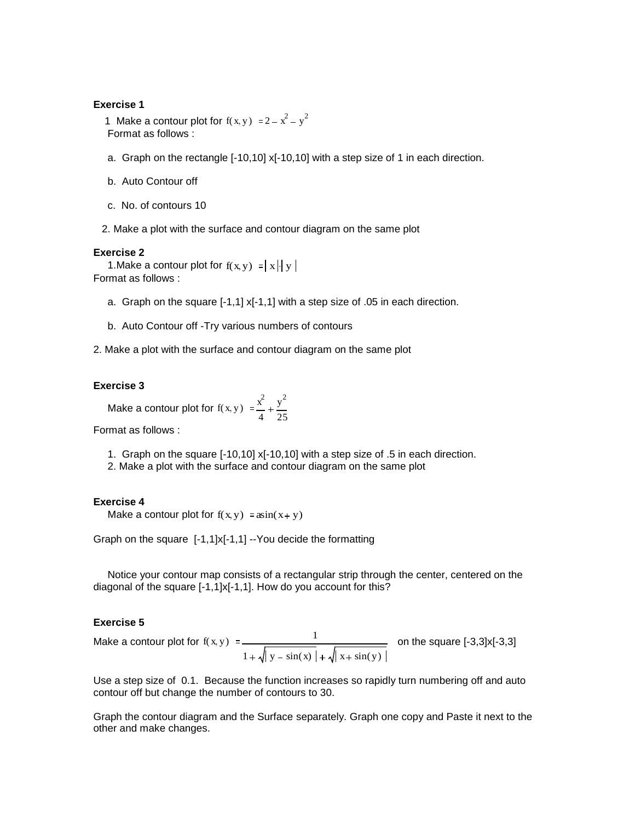### **Exercise 1**

1 Make a contour plot for  $f(x, y) := 2 - x^2 - y^2$ Format as follows :

- a. Graph on the rectangle [-10,10] x[-10,10] with a step size of 1 in each direction.
- b. Auto Contour off
- c. No. of contours 10
- 2. Make a plot with the surface and contour diagram on the same plot

### **Exercise 2**

1. Make a contour plot for  $f(x, y) = |x|$  y Format as follows :

- a. Graph on the square [-1,1] x[-1,1] with a step size of .05 in each direction.
- b. Auto Contour off -Try various numbers of contours
- 2. Make a plot with the surface and contour diagram on the same plot

## **Exercise 3**

Make a contour plot for  $f(x, y) = \frac{x^2}{x^2}$ 4 y 2 25

Format as follows :

- 1. Graph on the square [-10,10] x[-10,10] with a step size of .5 in each direction.
- 2. Make a plot with the surface and contour diagram on the same plot

### **Exercise 4**

Make a contour plot for  $f(x, y) = a\sin(x + y)$ 

Graph on the square [-1,1]x[-1,1] --You decide the formatting

 Notice your contour map consists of a rectangular strip through the center, centered on the diagonal of the square [-1,1]x[-1,1]. How do you account for this?

# **Exercise 5**

Make a contour plot for f(x y) 1  $1 + \sqrt{y} - \sin(x) + \sqrt{x} + \sin(y)$ on the square [-3,3]x[-3,3]

Use a step size of 0.1. Because the function increases so rapidly turn numbering off and auto contour off but change the number of contours to 30.

Graph the contour diagram and the Surface separately. Graph one copy and Paste it next to the other and make changes.